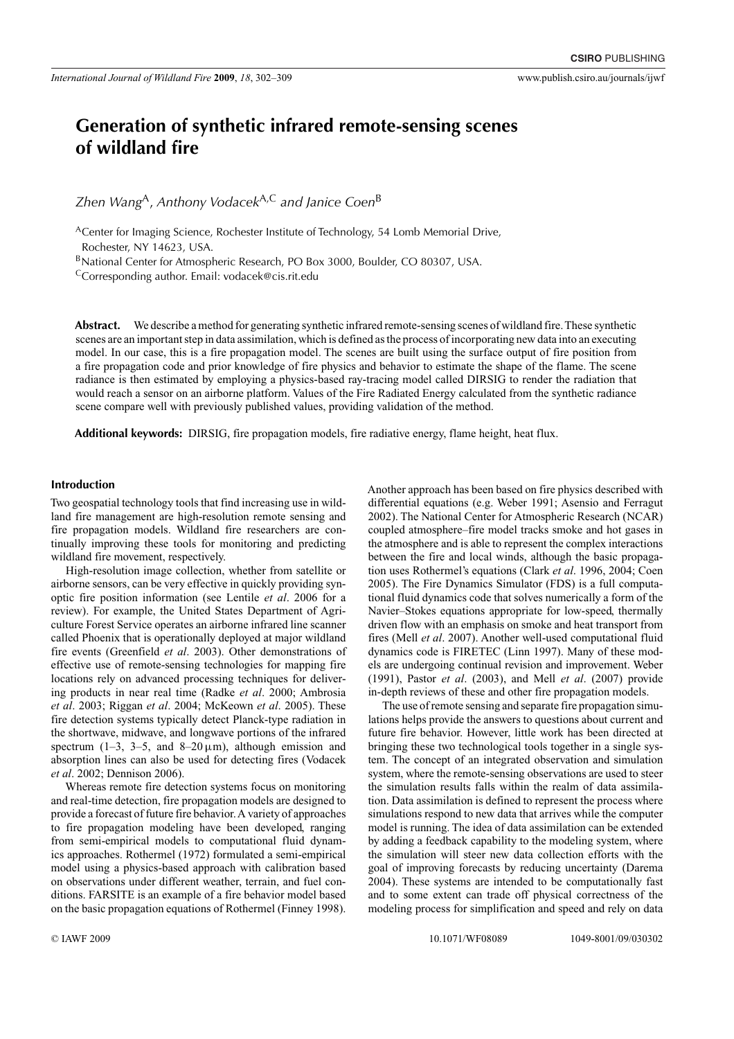# **Generation of synthetic infrared remote-sensing scenes of wildland fire**

*Zhen Wang*A, *Anthony Vodacek*A,C *and Janice Coen*<sup>B</sup>

<sup>A</sup>Center for Imaging Science, Rochester Institute of Technology, 54 Lomb Memorial Drive, Rochester, NY 14623, USA.

BNational Center for Atmospheric Research, PO Box 3000, Boulder, CO 80307, USA.

CCorresponding author. Email: [vodacek@cis.rit.edu](mailto:vodacek@cis.rit.edu)

**Abstract.** We describe a method for generating synthetic infrared remote-sensing scenes of wildland fire.These synthetic scenes are an important step in data assimilation, which is defined as the process of incorporating new data into an executing model. In our case, this is a fire propagation model. The scenes are built using the surface output of fire position from a fire propagation code and prior knowledge of fire physics and behavior to estimate the shape of the flame. The scene radiance is then estimated by employing a physics-based ray-tracing model called DIRSIG to render the radiation that would reach a sensor on an airborne platform. Values of the Fire Radiated Energy calculated from the synthetic radiance scene compare well with previously published values, providing validation of the method.

**Additional keywords:** DIRSIG, fire propagation models, fire radiative energy, flame height, heat flux.

## **Introduction**

Two geospatial technology tools that find increasing use in wildland fire management are high-resolution remote sensing and fire propagation models. Wildland fire researchers are continually improving these tools for monitoring and predicting wildland fire movement, respectively.

High-resolution image collection, whether from satellite or airborne sensors, can be very effective in quickly providing synoptic fire position information (see Lentile *et al*. 2006 for a review). For example, the United States Department of Agriculture Forest Service operates an airborne infrared line scanner called Phoenix that is operationally deployed at major wildland fire events (Greenfield *et al*. 2003). Other demonstrations of effective use of remote-sensing technologies for mapping fire locations rely on advanced processing techniques for delivering products in near real time (Radke *et al*. 2000; Ambrosia *et al*. 2003; Riggan *et al*. 2004; McKeown *et al*. 2005). These fire detection systems typically detect Planck-type radiation in the shortwave, midwave, and longwave portions of the infrared spectrum (1–3, 3–5, and 8–20  $\mu$ m), although emission and absorption lines can also be used for detecting fires (Vodacek *et al*. 2002; Dennison 2006).

Whereas remote fire detection systems focus on monitoring and real-time detection, fire propagation models are designed to provide a forecast of future fire behavior.A variety of approaches to fire propagation modeling have been developed, ranging from semi-empirical models to computational fluid dynamics approaches. Rothermel (1972) formulated a semi-empirical model using a physics-based approach with calibration based on observations under different weather, terrain, and fuel conditions. FARSITE is an example of a fire behavior model based on the basic propagation equations of Rothermel (Finney 1998). Another approach has been based on fire physics described with differential equations (e.g. Weber 1991; Asensio and Ferragut 2002). The National Center for Atmospheric Research (NCAR) coupled atmosphere–fire model tracks smoke and hot gases in the atmosphere and is able to represent the complex interactions between the fire and local winds, although the basic propagation uses Rothermel's equations (Clark *et al*. 1996, 2004; Coen 2005). The Fire Dynamics Simulator (FDS) is a full computational fluid dynamics code that solves numerically a form of the Navier–Stokes equations appropriate for low-speed, thermally driven flow with an emphasis on smoke and heat transport from fires (Mell *et al*. 2007). Another well-used computational fluid dynamics code is FIRETEC (Linn 1997). Many of these models are undergoing continual revision and improvement. Weber (1991), Pastor *et al*. (2003), and Mell *et al*. (2007) provide in-depth reviews of these and other fire propagation models.

The use of remote sensing and separate fire propagation simulations helps provide the answers to questions about current and future fire behavior. However, little work has been directed at bringing these two technological tools together in a single system. The concept of an integrated observation and simulation system, where the remote-sensing observations are used to steer the simulation results falls within the realm of data assimilation. Data assimilation is defined to represent the process where simulations respond to new data that arrives while the computer model is running. The idea of data assimilation can be extended by adding a feedback capability to the modeling system, where the simulation will steer new data collection efforts with the goal of improving forecasts by reducing uncertainty (Darema 2004). These systems are intended to be computationally fast and to some extent can trade off physical correctness of the modeling process for simplification and speed and rely on data

© IAWF 2009 10.1071/WF08089 1049-8001/09/030302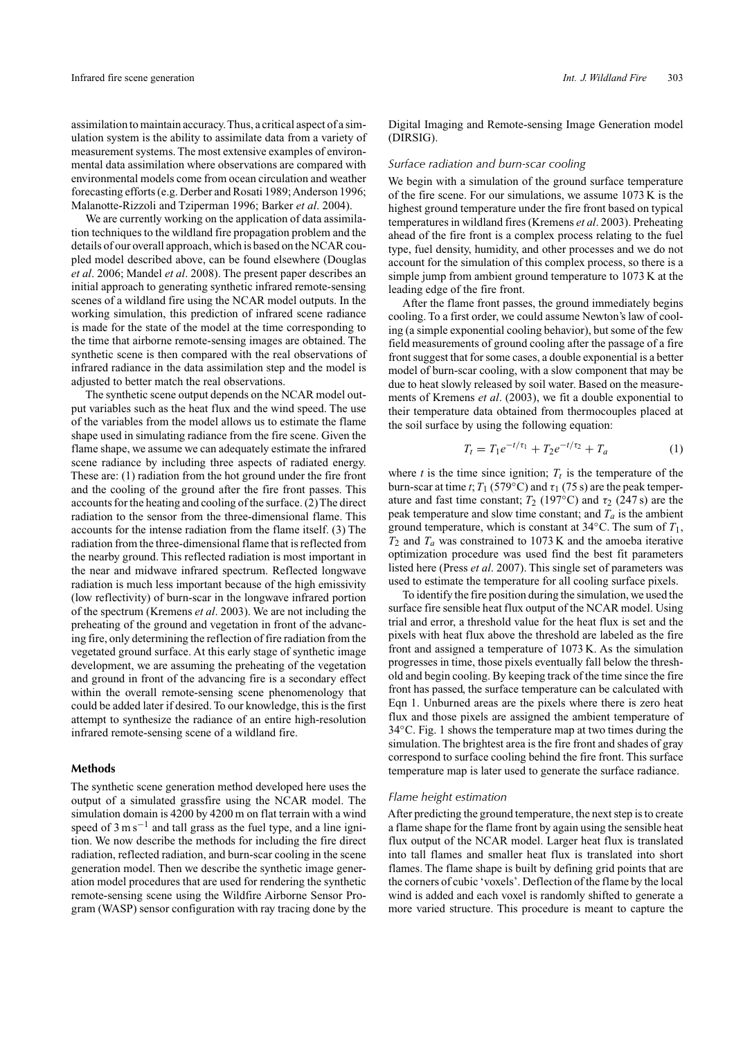assimilation to maintain accuracy.Thus, a critical aspect of a simulation system is the ability to assimilate data from a variety of measurement systems. The most extensive examples of environmental data assimilation where observations are compared with environmental models come from ocean circulation and weather forecasting efforts (e.g. Derber and Rosati 1989; Anderson 1996; Malanotte-Rizzoli and Tziperman 1996; Barker *et al*. 2004).

We are currently working on the application of data assimilation techniques to the wildland fire propagation problem and the details of our overall approach, which is based on the NCAR coupled model described above, can be found elsewhere (Douglas *et al*. 2006; Mandel *et al*. 2008). The present paper describes an initial approach to generating synthetic infrared remote-sensing scenes of a wildland fire using the NCAR model outputs. In the working simulation, this prediction of infrared scene radiance is made for the state of the model at the time corresponding to the time that airborne remote-sensing images are obtained. The synthetic scene is then compared with the real observations of infrared radiance in the data assimilation step and the model is adjusted to better match the real observations.

The synthetic scene output depends on the NCAR model output variables such as the heat flux and the wind speed. The use of the variables from the model allows us to estimate the flame shape used in simulating radiance from the fire scene. Given the flame shape, we assume we can adequately estimate the infrared scene radiance by including three aspects of radiated energy. These are: (1) radiation from the hot ground under the fire front and the cooling of the ground after the fire front passes. This accounts for the heating and cooling of the surface. (2)The direct radiation to the sensor from the three-dimensional flame. This accounts for the intense radiation from the flame itself. (3) The radiation from the three-dimensional flame that is reflected from the nearby ground. This reflected radiation is most important in the near and midwave infrared spectrum. Reflected longwave radiation is much less important because of the high emissivity (low reflectivity) of burn-scar in the longwave infrared portion of the spectrum (Kremens *et al*. 2003). We are not including the preheating of the ground and vegetation in front of the advancing fire, only determining the reflection of fire radiation from the vegetated ground surface. At this early stage of synthetic image development, we are assuming the preheating of the vegetation and ground in front of the advancing fire is a secondary effect within the overall remote-sensing scene phenomenology that could be added later if desired. To our knowledge, this is the first attempt to synthesize the radiance of an entire high-resolution infrared remote-sensing scene of a wildland fire.

# **Methods**

The synthetic scene generation method developed here uses the output of a simulated grassfire using the NCAR model. The simulation domain is 4200 by 4200 m on flat terrain with a wind speed of  $3 \text{ m s}^{-1}$  and tall grass as the fuel type, and a line ignition. We now describe the methods for including the fire direct radiation, reflected radiation, and burn-scar cooling in the scene generation model. Then we describe the synthetic image generation model procedures that are used for rendering the synthetic remote-sensing scene using the Wildfire Airborne Sensor Program (WASP) sensor configuration with ray tracing done by the Digital Imaging and Remote-sensing Image Generation model (DIRSIG).

#### *Surface radiation and burn-scar cooling*

We begin with a simulation of the ground surface temperature of the fire scene. For our simulations, we assume 1073 K is the highest ground temperature under the fire front based on typical temperatures in wildland fires (Kremens *et al*. 2003). Preheating ahead of the fire front is a complex process relating to the fuel type, fuel density, humidity, and other processes and we do not account for the simulation of this complex process, so there is a simple jump from ambient ground temperature to 1073 K at the leading edge of the fire front.

After the flame front passes, the ground immediately begins cooling. To a first order, we could assume Newton's law of cooling (a simple exponential cooling behavior), but some of the few field measurements of ground cooling after the passage of a fire front suggest that for some cases, a double exponential is a better model of burn-scar cooling, with a slow component that may be due to heat slowly released by soil water. Based on the measurements of Kremens *et al*. (2003), we fit a double exponential to their temperature data obtained from thermocouples placed at the soil surface by using the following equation:

$$
T_t = T_1 e^{-t/\tau_1} + T_2 e^{-t/\tau_2} + T_a \tag{1}
$$

where  $t$  is the time since ignition;  $T_t$  is the temperature of the burn-scar at time *t*;  $T_1$  (579°C) and  $\tau_1$  (75 s) are the peak temperature and fast time constant;  $T_2$  (197°C) and  $\tau_2$  (247 s) are the peak temperature and slow time constant; and  $T_a$  is the ambient ground temperature, which is constant at 34◦C. The sum of *T*1,  $T_2$  and  $T_a$  was constrained to 1073 K and the amoeba iterative optimization procedure was used find the best fit parameters listed here (Press *et al*. 2007). This single set of parameters was used to estimate the temperature for all cooling surface pixels.

To identify the fire position during the simulation, we used the surface fire sensible heat flux output of the NCAR model. Using trial and error, a threshold value for the heat flux is set and the pixels with heat flux above the threshold are labeled as the fire front and assigned a temperature of 1073 K. As the simulation progresses in time, those pixels eventually fall below the threshold and begin cooling. By keeping track of the time since the fire front has passed, the surface temperature can be calculated with Eqn 1. Unburned areas are the pixels where there is zero heat flux and those pixels are assigned the ambient temperature of 34◦C. Fig. 1 shows the temperature map at two times during the simulation. The brightest area is the fire front and shades of gray correspond to surface cooling behind the fire front. This surface temperature map is later used to generate the surface radiance.

# *Flame height estimation*

After predicting the ground temperature, the next step is to create a flame shape for the flame front by again using the sensible heat flux output of the NCAR model. Larger heat flux is translated into tall flames and smaller heat flux is translated into short flames. The flame shape is built by defining grid points that are the corners of cubic 'voxels'. Deflection of the flame by the local wind is added and each voxel is randomly shifted to generate a more varied structure. This procedure is meant to capture the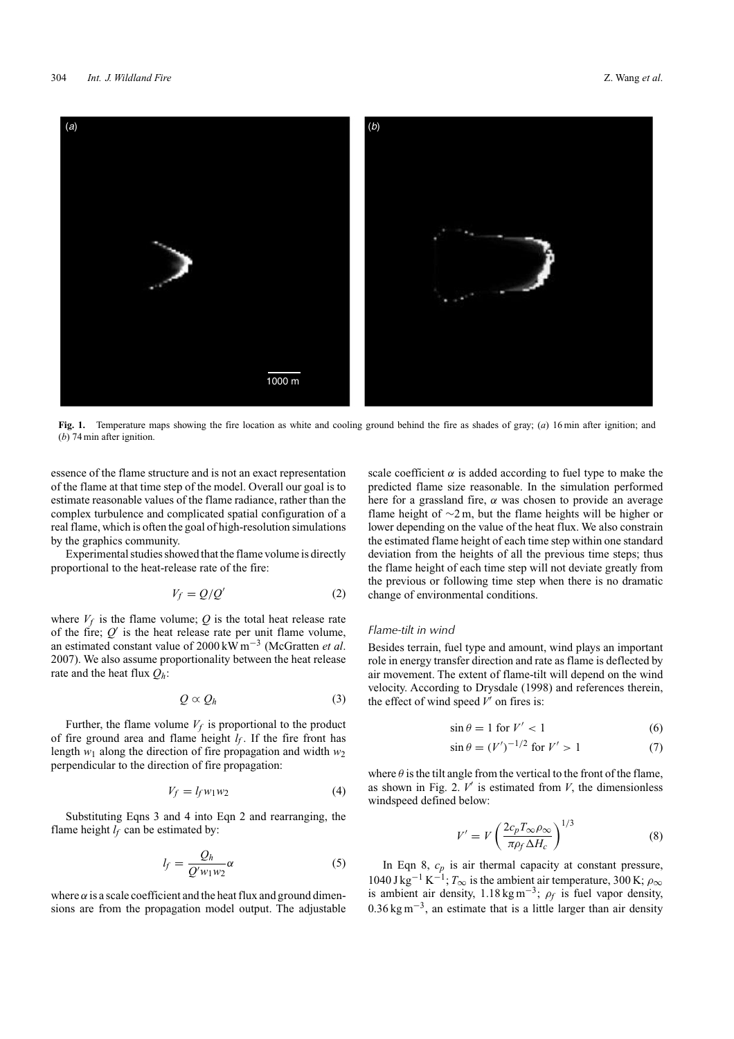

**Fig. 1.** Temperature maps showing the fire location as white and cooling ground behind the fire as shades of gray; (*a*) 16 min after ignition; and (*b*) 74 min after ignition.

essence of the flame structure and is not an exact representation of the flame at that time step of the model. Overall our goal is to estimate reasonable values of the flame radiance, rather than the complex turbulence and complicated spatial configuration of a real flame, which is often the goal of high-resolution simulations by the graphics community.

Experimental studies showed that the flame volume is directly proportional to the heat-release rate of the fire:

$$
V_f = Q/Q'
$$
 (2)

where  $V_f$  is the flame volume;  $Q$  is the total heat release rate of the fire;  $Q'$  is the heat release rate per unit flame volume, an estimated constant value of 2000 kW m−<sup>3</sup> (McGratten *et al*. 2007). We also assume proportionality between the heat release rate and the heat flux *Qh*:

$$
Q \propto Q_h \tag{3}
$$

Further, the flame volume  $V_f$  is proportional to the product of fire ground area and flame height  $l_f$ . If the fire front has length  $w_1$  along the direction of fire propagation and width  $w_2$ perpendicular to the direction of fire propagation:

$$
V_f = l_f w_1 w_2 \tag{4}
$$

Substituting Eqns 3 and 4 into Eqn 2 and rearranging, the flame height  $l_f$  can be estimated by:

$$
l_f = \frac{Q_h}{Q'w_1w_2}\alpha\tag{5}
$$

where  $\alpha$  is a scale coefficient and the heat flux and ground dimensions are from the propagation model output. The adjustable scale coefficient  $\alpha$  is added according to fuel type to make the predicted flame size reasonable. In the simulation performed here for a grassland fire, *α* was chosen to provide an average flame height of ∼2 m, but the flame heights will be higher or lower depending on the value of the heat flux. We also constrain the estimated flame height of each time step within one standard deviation from the heights of all the previous time steps; thus the flame height of each time step will not deviate greatly from the previous or following time step when there is no dramatic change of environmental conditions.

## *Flame-tilt in wind*

Besides terrain, fuel type and amount, wind plays an important role in energy transfer direction and rate as flame is deflected by air movement. The extent of flame-tilt will depend on the wind velocity. According to Drysdale (1998) and references therein, the effect of wind speed  $V'$  on fires is:

$$
\sin \theta = 1 \text{ for } V' < 1 \tag{6}
$$

$$
\sin \theta = (V')^{-1/2} \text{ for } V' > 1 \tag{7}
$$

where  $\theta$  is the tilt angle from the vertical to the front of the flame, as shown in Fig. 2.  $V'$  is estimated from  $V$ , the dimensionless windspeed defined below:

$$
V' = V \left( \frac{2c_p T_{\infty} \rho_{\infty}}{\pi \rho_f \Delta H_c} \right)^{1/3}
$$
 (8)

In Eqn 8,  $c_p$  is air thermal capacity at constant pressure,  $1040 \text{ J kg}^{-1} \text{ K}^{-1}$ ;  $T_{\infty}$  is the ambient air temperature, 300 K;  $\rho_{\infty}$ is ambient air density,  $1.18 \text{ kg m}^{-3}$ ;  $\rho_f$  is fuel vapor density,  $0.36 \text{ kg m}^{-3}$ , an estimate that is a little larger than air density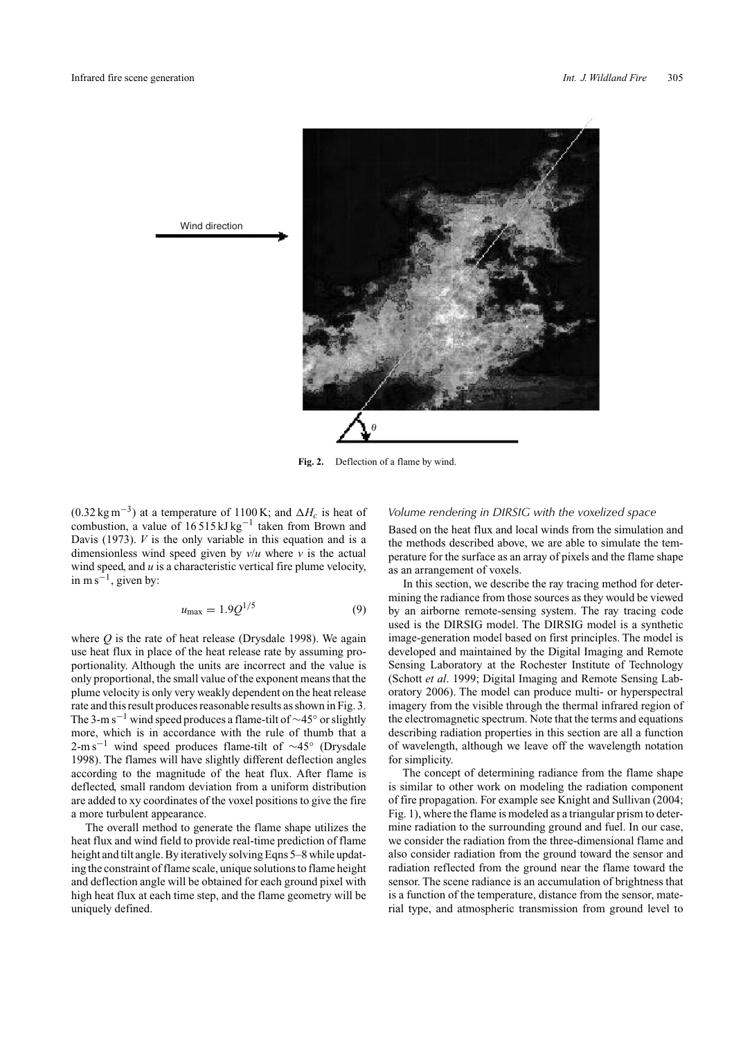

Wind direction

Fig. 2. Deflection of a flame by wind.

 $(0.32 \text{ kg m}^{-3})$  at a temperature of 1100 K; and  $\Delta H_c$  is heat of combustion, a value of 16 515 kJ kg−<sup>1</sup> taken from Brown and Davis (1973). *V* is the only variable in this equation and is a dimensionless wind speed given by  $v/u$  where  $v$  is the actual wind speed, and *u* is a characteristic vertical fire plume velocity, in m s<sup> $-1$ </sup>, given by:

$$
u_{\text{max}} = 1.9Q^{1/5} \tag{9}
$$

where *Q* is the rate of heat release (Drysdale 1998). We again use heat flux in place of the heat release rate by assuming proportionality. Although the units are incorrect and the value is only proportional, the small value of the exponent means that the plume velocity is only very weakly dependent on the heat release rate and this result produces reasonable results as shown in Fig. 3. The 3-m s−<sup>1</sup> wind speed produces a flame-tilt of ∼45◦ or slightly more, which is in accordance with the rule of thumb that a 2-m s<sup>−1</sup> wind speed produces flame-tilt of ~45° (Drysdale 1998). The flames will have slightly different deflection angles according to the magnitude of the heat flux. After flame is deflected, small random deviation from a uniform distribution are added to xy coordinates of the voxel positions to give the fire a more turbulent appearance.

The overall method to generate the flame shape utilizes the heat flux and wind field to provide real-time prediction of flame height and tilt angle. By iteratively solving Eqns 5–8 while updating the constraint of flame scale, unique solutions to flame height and deflection angle will be obtained for each ground pixel with high heat flux at each time step, and the flame geometry will be uniquely defined.

### *Volume rendering in DIRSIG with the voxelized space*

Based on the heat flux and local winds from the simulation and the methods described above, we are able to simulate the temperature for the surface as an array of pixels and the flame shape as an arrangement of voxels.

In this section, we describe the ray tracing method for determining the radiance from those sources as they would be viewed by an airborne remote-sensing system. The ray tracing code used is the DIRSIG model. The DIRSIG model is a synthetic image-generation model based on first principles. The model is developed and maintained by the Digital Imaging and Remote Sensing Laboratory at the Rochester Institute of Technology (Schott *et al*. 1999; Digital Imaging and Remote Sensing Laboratory 2006). The model can produce multi- or hyperspectral imagery from the visible through the thermal infrared region of the electromagnetic spectrum. Note that the terms and equations describing radiation properties in this section are all a function of wavelength, although we leave off the wavelength notation for simplicity.

The concept of determining radiance from the flame shape is similar to other work on modeling the radiation component of fire propagation. For example see Knight and Sullivan (2004; Fig. 1), where the flame is modeled as a triangular prism to determine radiation to the surrounding ground and fuel. In our case, we consider the radiation from the three-dimensional flame and also consider radiation from the ground toward the sensor and radiation reflected from the ground near the flame toward the sensor. The scene radiance is an accumulation of brightness that is a function of the temperature, distance from the sensor, material type, and atmospheric transmission from ground level to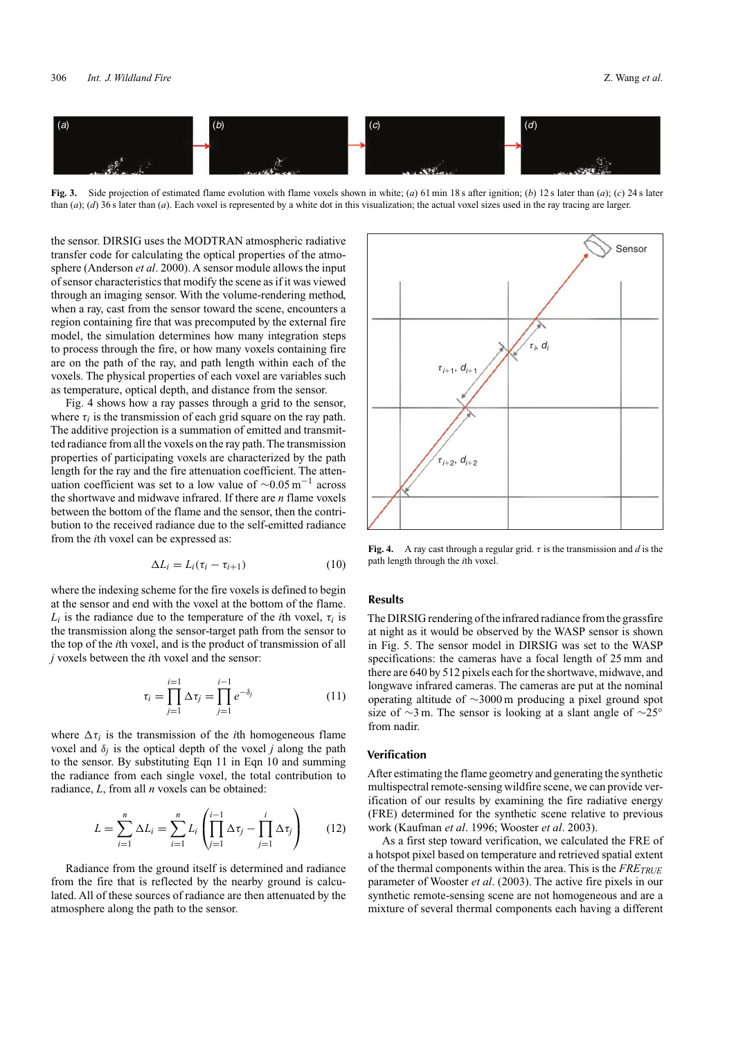

**Fig. 3.** Side projection of estimated flame evolution with flame voxels shown in white; (*a*) 61 min 18 s after ignition; (*b*) 12 s later than (*a*); (*c*) 24 s later than (*a*); (*d*) 36 s later than (*a*). Each voxel is represented by a white dot in this visualization; the actual voxel sizes used in the ray tracing are larger.

the sensor. DIRSIG uses the MODTRAN atmospheric radiative transfer code for calculating the optical properties of the atmosphere (Anderson *et al*. 2000). A sensor module allows the input of sensor characteristics that modify the scene as if it was viewed through an imaging sensor. With the volume-rendering method, when a ray, cast from the sensor toward the scene, encounters a region containing fire that was precomputed by the external fire model, the simulation determines how many integration steps to process through the fire, or how many voxels containing fire are on the path of the ray, and path length within each of the voxels. The physical properties of each voxel are variables such as temperature, optical depth, and distance from the sensor.

Fig. 4 shows how a ray passes through a grid to the sensor, where  $\tau_i$  is the transmission of each grid square on the ray path. The additive projection is a summation of emitted and transmitted radiance from all the voxels on the ray path. The transmission properties of participating voxels are characterized by the path length for the ray and the fire attenuation coefficient. The attenuation coefficient was set to a low value of  $\sim 0.05 \,\mathrm{m}^{-1}$  across the shortwave and midwave infrared. If there are *n* flame voxels between the bottom of the flame and the sensor, then the contribution to the received radiance due to the self-emitted radiance from the *i*th voxel can be expressed as:

$$
\Delta L_i = L_i (\tau_i - \tau_{i+1}) \tag{10}
$$

where the indexing scheme for the fire voxels is defined to begin at the sensor and end with the voxel at the bottom of the flame.  $L_i$  is the radiance due to the temperature of the *i*th voxel,  $\tau_i$  is the transmission along the sensor-target path from the sensor to the top of the *i*th voxel, and is the product of transmission of all *j* voxels between the *i*th voxel and the sensor:

$$
\tau_i = \prod_{j=1}^{i=1} \Delta \tau_j = \prod_{j=1}^{i-1} e^{-\delta_j} \tag{11}
$$

where  $\Delta \tau_i$  is the transmission of the *i*th homogeneous flame voxel and  $\delta$ *j* is the optical depth of the voxel *j* along the path to the sensor. By substituting Eqn 11 in Eqn 10 and summing the radiance from each single voxel, the total contribution to radiance, *L*, from all *n* voxels can be obtained:

$$
L = \sum_{i=1}^{n} \Delta L_i = \sum_{i=1}^{n} L_i \left( \prod_{j=1}^{i-1} \Delta \tau_j - \prod_{j=1}^{i} \Delta \tau_j \right) \qquad (12)
$$

Radiance from the ground itself is determined and radiance from the fire that is reflected by the nearby ground is calculated. All of these sources of radiance are then attenuated by the atmosphere along the path to the sensor.



**Fig. 4.** A ray cast through a regular grid. *τ* is the transmission and *d* is the path length through the *i*th voxel.

# **Results**

The DIRSIG rendering of the infrared radiance from the grassfire at night as it would be observed by the WASP sensor is shown in Fig. 5. The sensor model in DIRSIG was set to the WASP specifications: the cameras have a focal length of 25 mm and there are 640 by 512 pixels each for the shortwave, midwave, and longwave infrared cameras. The cameras are put at the nominal operating altitude of ∼3000 m producing a pixel ground spot size of ∼3 m. The sensor is looking at a slant angle of ∼25◦ from nadir.

## **Verification**

After estimating the flame geometry and generating the synthetic multispectral remote-sensing wildfire scene, we can provide verification of our results by examining the fire radiative energy (FRE) determined for the synthetic scene relative to previous work (Kaufman *et al*. 1996; Wooster *et al*. 2003).

As a first step toward verification, we calculated the FRE of a hotspot pixel based on temperature and retrieved spatial extent of the thermal components within the area. This is the *FRETRUE* parameter of Wooster *et al*. (2003). The active fire pixels in our synthetic remote-sensing scene are not homogeneous and are a mixture of several thermal components each having a different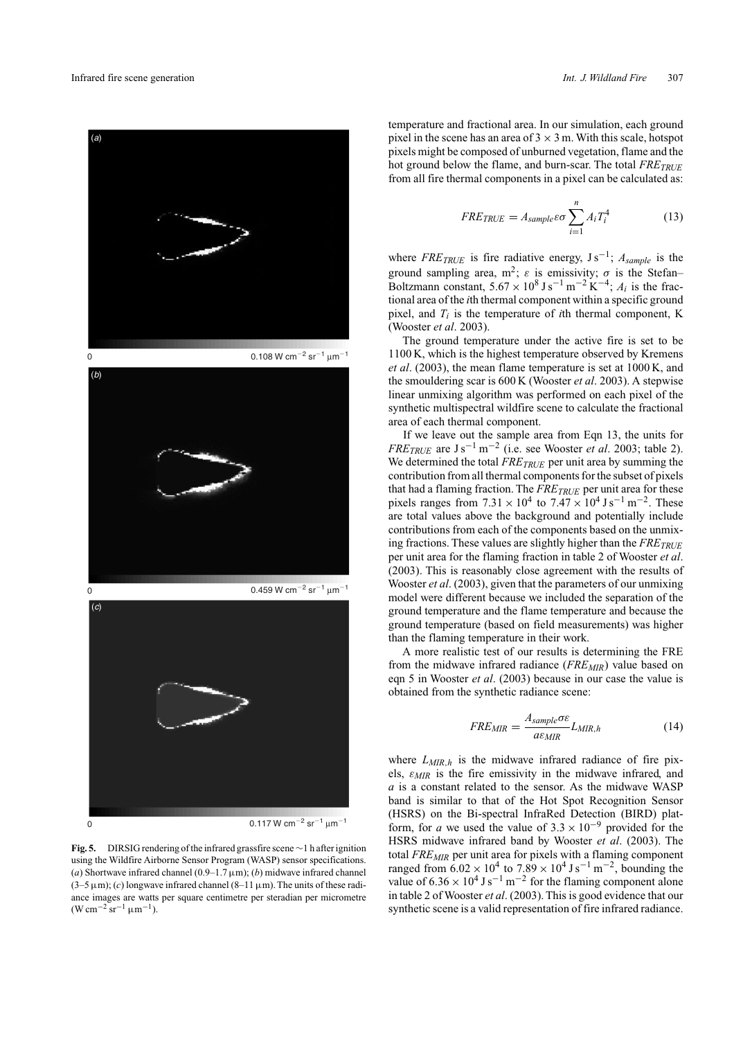

 $0.117$  W cm $^{-2}$  sr $^{-1}$   $\mu$ m $^{-1}$ 

**Fig. 5.** DIRSIG rendering of the infrared grassfire scene∼1 h after ignition using the Wildfire Airborne Sensor Program (WASP) sensor specifications. (*a*) Shortwave infrared channel (0.9–1.7  $\mu$ m); (*b*) midwave infrared channel  $(3-5 \mu m)$ ; (*c*) longwave infrared channel  $(8-11 \mu m)$ . The units of these radiance images are watts per square centimetre per steradian per micrometre  $(W cm^{-2} sr^{-1} \mu m^{-1}).$ 

 $\Omega$ 

temperature and fractional area. In our simulation, each ground pixel in the scene has an area of  $3 \times 3$  m. With this scale, hotspot pixels might be composed of unburned vegetation, flame and the hot ground below the flame, and burn-scar. The total *FRE<sub>TRUE</sub>* from all fire thermal components in a pixel can be calculated as:

$$
FREF_{TRUE} = A_{sample}\varepsilon\sigma \sum_{i=1}^{n} A_i T_i^4 \tag{13}
$$

where  $FREF_{TRUE}$  is fire radiative energy,  $Js^{-1}$ ;  $A_{sample}$  is the ground sampling area,  $m^2$ ;  $\varepsilon$  is emissivity;  $\sigma$  is the Stefan– Boltzmann constant,  $5.67 \times 10^8$  J s<sup>-1</sup> m<sup>-2</sup> K<sup>-4</sup>;  $A_i$  is the fractional area of the *i*th thermal component within a specific ground pixel, and  $T_i$  is the temperature of *i*th thermal component, K (Wooster *et al*. 2003).

The ground temperature under the active fire is set to be 1100 K, which is the highest temperature observed by Kremens *et al*. (2003), the mean flame temperature is set at 1000 K, and the smouldering scar is 600 K (Wooster *et al*. 2003). A stepwise linear unmixing algorithm was performed on each pixel of the synthetic multispectral wildfire scene to calculate the fractional area of each thermal component.

If we leave out the sample area from Eqn 13, the units for *FRE<sub>TRUE</sub>* are  $J s^{-1} m^{-2}$  (i.e. see Wooster *et al.* 2003; table 2). We determined the total *FRETRUE* per unit area by summing the contribution from all thermal components for the subset of pixels that had a flaming fraction. The *FRE<sub>TRUE</sub>* per unit area for these pixels ranges from  $7.31 \times 10^4$  to  $7.47 \times 10^4$  J s<sup>-1</sup> m<sup>-2</sup>. These are total values above the background and potentially include contributions from each of the components based on the unmixing fractions. These values are slightly higher than the  $FREF_{TRUE}$ per unit area for the flaming fraction in table 2 of Wooster *et al*. (2003). This is reasonably close agreement with the results of Wooster *et al*. (2003), given that the parameters of our unmixing model were different because we included the separation of the ground temperature and the flame temperature and because the ground temperature (based on field measurements) was higher than the flaming temperature in their work.

A more realistic test of our results is determining the FRE from the midwave infrared radiance (*FREMIR*) value based on eqn 5 in Wooster *et al*. (2003) because in our case the value is obtained from the synthetic radiance scene:

$$
FRE_{MIR} = \frac{A_{sample}\sigma\epsilon}{a\epsilon_{MIR}}L_{MIR,h}
$$
(14)

where  $L_{MIR,h}$  is the midwave infrared radiance of fire pixels, *εMIR* is the fire emissivity in the midwave infrared, and *a* is a constant related to the sensor. As the midwave WASP band is similar to that of the Hot Spot Recognition Sensor (HSRS) on the Bi-spectral InfraRed Detection (BIRD) platform, for *a* we used the value of  $3.3 \times 10^{-9}$  provided for the HSRS midwave infrared band by Wooster *et al*. (2003). The total *FREMIR* per unit area for pixels with a flaming component ranged from  $6.02 \times 10^4$  to  $7.89 \times 10^4$  J s<sup>-1</sup> m<sup>-2</sup>, bounding the value of  $6.36 \times 10^4$  J s<sup>-1</sup> m<sup>-2</sup> for the flaming component alone in table 2 of Wooster *et al*. (2003). This is good evidence that our synthetic scene is a valid representation of fire infrared radiance.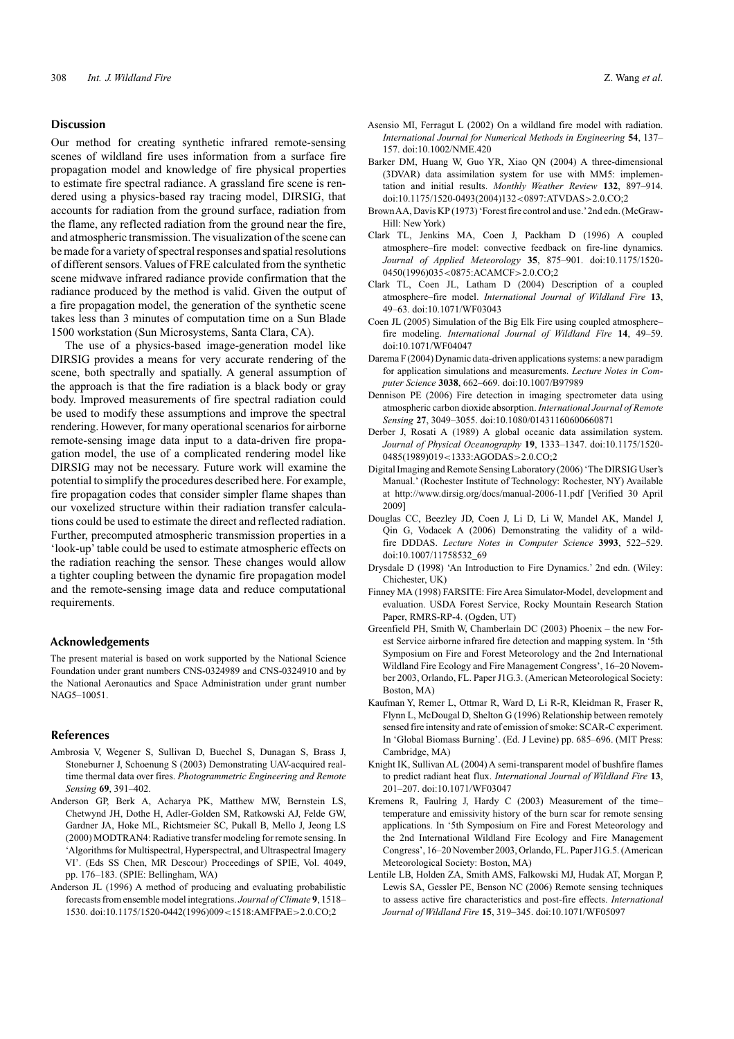#### **Discussion**

Our method for creating synthetic infrared remote-sensing scenes of wildland fire uses information from a surface fire propagation model and knowledge of fire physical properties to estimate fire spectral radiance. A grassland fire scene is rendered using a physics-based ray tracing model, DIRSIG, that accounts for radiation from the ground surface, radiation from the flame, any reflected radiation from the ground near the fire, and atmospheric transmission.The visualization of the scene can be made for a variety of spectral responses and spatial resolutions of different sensors. Values of FRE calculated from the synthetic scene midwave infrared radiance provide confirmation that the radiance produced by the method is valid. Given the output of a fire propagation model, the generation of the synthetic scene takes less than 3 minutes of computation time on a Sun Blade 1500 workstation (Sun Microsystems, Santa Clara, CA).

The use of a physics-based image-generation model like DIRSIG provides a means for very accurate rendering of the scene, both spectrally and spatially. A general assumption of the approach is that the fire radiation is a black body or gray body. Improved measurements of fire spectral radiation could be used to modify these assumptions and improve the spectral rendering. However, for many operational scenarios for airborne remote-sensing image data input to a data-driven fire propagation model, the use of a complicated rendering model like DIRSIG may not be necessary. Future work will examine the potential to simplify the procedures described here. For example, fire propagation codes that consider simpler flame shapes than our voxelized structure within their radiation transfer calculations could be used to estimate the direct and reflected radiation. Further, precomputed atmospheric transmission properties in a 'look-up' table could be used to estimate atmospheric effects on the radiation reaching the sensor. These changes would allow a tighter coupling between the dynamic fire propagation model and the remote-sensing image data and reduce computational requirements.

#### **Acknowledgements**

The present material is based on work supported by the National Science Foundation under grant numbers CNS-0324989 and CNS-0324910 and by the National Aeronautics and Space Administration under grant number NAG5–10051.

#### **References**

- Ambrosia V, Wegener S, Sullivan D, Buechel S, Dunagan S, Brass J, Stoneburner J, Schoenung S (2003) Demonstrating UAV-acquired realtime thermal data over fires. *Photogrammetric Engineering and Remote Sensing* **69**, 391–402.
- Anderson GP, Berk A, Acharya PK, Matthew MW, Bernstein LS, Chetwynd JH, Dothe H, Adler-Golden SM, Ratkowski AJ, Felde GW, Gardner JA, Hoke ML, Richtsmeier SC, Pukall B, Mello J, Jeong LS (2000) MODTRAN4: Radiative transfer modeling for remote sensing. In 'Algorithms for Multispectral, Hyperspectral, and Ultraspectral Imagery VI'. (Eds SS Chen, MR Descour) Proceedings of SPIE, Vol. 4049, pp. 176–183. (SPIE: Bellingham, WA)
- Anderson JL (1996) A method of producing and evaluating probabilistic forecasts from ensemble model integrations. *Journal of Climate* **9**, 1518– 1530. doi:10.1175/1520-0442(1996)009*<*1518:AMFPAE*>*2.0.CO;2
- Asensio MI, Ferragut L (2002) On a wildland fire model with radiation. *International Journal for Numerical Methods in Engineering* **54**, 137– 157. doi:10.1002/NME.420
- Barker DM, Huang W, Guo YR, Xiao QN (2004) A three-dimensional (3DVAR) data assimilation system for use with MM5: implementation and initial results. *Monthly Weather Review* **132**, 897–914. doi:10.1175/1520-0493(2004)132*<*0897:ATVDAS*>*2.0.CO;2
- BrownAA, Davis KP (1973) 'Forest fire control and use.'2nd edn. (McGraw-Hill: New York)
- Clark TL, Jenkins MA, Coen J, Packham D (1996) A coupled atmosphere–fire model: convective feedback on fire-line dynamics. *Journal of Applied Meteorology* **35**, 875–901. doi:10.1175/1520- 0450(1996)035*<*0875:ACAMCF*>*2.0.CO;2
- Clark TL, Coen JL, Latham D (2004) Description of a coupled atmosphere–fire model. *International Journal of Wildland Fire* **13**, 49–63. doi:10.1071/WF03043
- Coen JL (2005) Simulation of the Big Elk Fire using coupled atmosphere– fire modeling. *International Journal of Wildland Fire* **14**, 49–59. doi:10.1071/WF04047
- Darema F (2004) Dynamic data-driven applications systems: a new paradigm for application simulations and measurements. *Lecture Notes in Computer Science* **3038**, 662–669. doi:10.1007/B97989
- Dennison PE (2006) Fire detection in imaging spectrometer data using atmospheric carbon dioxide absorption. *International Journal of Remote Sensing* **27**, 3049–3055. doi:10.1080/01431160600660871
- Derber J, Rosati A (1989) A global oceanic data assimilation system. *Journal of Physical Oceanography* **19**, 1333–1347. doi:10.1175/1520- 0485(1989)019*<*1333:AGODAS*>*2.0.CO;2
- Digital Imaging and Remote Sensing Laboratory (2006) 'The DIRSIG User's Manual.' (Rochester Institute of Technology: Rochester, NY) Available at<http://www.dirsig.org/docs/manual-2006-11.pdf> [Verified 30 April 2009]
- Douglas CC, Beezley JD, Coen J, Li D, Li W, Mandel AK, Mandel J, Qin G, Vodacek A (2006) Demonstrating the validity of a wildfire DDDAS. *Lecture Notes in Computer Science* **3993**, 522–529. doi:10.1007/11758532\_69
- Drysdale D (1998) 'An Introduction to Fire Dynamics.' 2nd edn. (Wiley: Chichester, UK)
- Finney MA (1998) FARSITE: Fire Area Simulator-Model, development and evaluation. USDA Forest Service, Rocky Mountain Research Station Paper, RMRS-RP-4. (Ogden, UT)
- Greenfield PH, Smith W, Chamberlain DC (2003) Phoenix the new Forest Service airborne infrared fire detection and mapping system. In '5th Symposium on Fire and Forest Meteorology and the 2nd International Wildland Fire Ecology and Fire Management Congress', 16–20 November 2003, Orlando, FL. Paper J1G.3. (American Meteorological Society: Boston, MA)
- Kaufman Y, Remer L, Ottmar R, Ward D, Li R-R, Kleidman R, Fraser R, Flynn L, McDougal D, Shelton G (1996) Relationship between remotely sensed fire intensity and rate of emission of smoke: SCAR-C experiment. In 'Global Biomass Burning'. (Ed. J Levine) pp. 685–696. (MIT Press: Cambridge, MA)
- Knight IK, Sullivan AL (2004) A semi-transparent model of bushfire flames to predict radiant heat flux. *International Journal of Wildland Fire* **13**, 201–207. doi:10.1071/WF03047
- Kremens R, Faulring J, Hardy C (2003) Measurement of the time– temperature and emissivity history of the burn scar for remote sensing applications. In '5th Symposium on Fire and Forest Meteorology and the 2nd International Wildland Fire Ecology and Fire Management Congress', 16–20 November 2003, Orlando, FL. Paper J1G.5. (American Meteorological Society: Boston, MA)
- Lentile LB, Holden ZA, Smith AMS, Falkowski MJ, Hudak AT, Morgan P, Lewis SA, Gessler PE, Benson NC (2006) Remote sensing techniques to assess active fire characteristics and post-fire effects. *International Journal of Wildland Fire* **15**, 319–345. doi:10.1071/WF05097